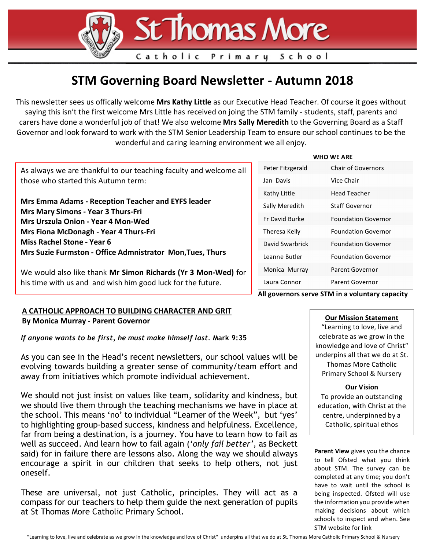

Catholic

## **STM Governing Board Newsletter - Autumn 2018**

Primary

This newsletter sees us offically welcome Mrs Kathy Little as our Executive Head Teacher. Of course it goes without saying this isn't the first welcome Mrs Little has received on joing the STM family - students, staff, parents and carers have done a wonderful job of that! We also welcome Mrs Sally Meredith to the Governing Board as a Staff Governor and look forward to work with the STM Senior Leadership Team to ensure our school continues to be the wonderful and caring learning environment we all enjoy.

As always we are thankful to our teaching faculty and welcome all those who started this Autumn term:

**Mrs Emma Adams - Reception Teacher and EYFS leader Mrs Mary Simons - Year 3 Thurs-Fri Mrs Urszula Onion - Year 4 Mon-Wed Mrs Fiona McDonagh - Year 4 Thurs-Fri Miss Rachel Stone - Year 6 Mrs Suzie Furmston - Office Admnistrator Mon,Tues, Thurs**

We would also like thank Mr Simon Richards (Yr 3 Mon-Wed) for his time with us and and wish him good luck for the future.

## A CATHOLIC APPROACH TO BUILDING CHARACTER AND GRIT **By Monica Murray - Parent Governor**

*If anyone wants to be first, he must make himself last.* **Mark 9:35**

As you can see in the Head's recent newsletters, our school values will be evolving towards building a greater sense of community/team effort and away from initiatives which promote individual achievement.

We should not just insist on values like team, solidarity and kindness, but we should live them through the teaching mechanisms we have in place at the school. This means 'no' to individual "Learner of the Week", but 'yes' to highlighting group-based success, kindness and helpfulness. Excellence, far from being a destination, is a journey. You have to learn how to fail as well as succeed. And learn how to fail again ('*only fail better'*, as Beckett said) for in failure there are lessons also. Along the way we should always encourage a spirit in our children that seeks to help others, not just oneself.

These are universal, not just Catholic, principles. They will act as a compass for our teachers to help them guide the next generation of pupils at St Thomas More Catholic Primary School.

#### **WHO** WE ARE

School

| Peter Fitzgerald      | <b>Chair of Governors</b>  |
|-----------------------|----------------------------|
| Jan Davis             | Vice Chair                 |
| Kathy Little          | Head Teacher               |
| Sally Meredith        | <b>Staff Governor</b>      |
| <b>Fr David Burke</b> | <b>Foundation Governor</b> |
| Theresa Kelly         | <b>Foundation Governor</b> |
| David Swarbrick       | <b>Foundation Governor</b> |
| Leanne Butler         | <b>Foundation Governor</b> |
| Monica Murray         | Parent Governor            |
| Laura Connor          | Parent Governor            |

**All governors serve STM in a voluntary capacity**

### **Our Mission Statement**

"Learning to love, live and celebrate as we grow in the knowledge and love of Christ" underpins all that we do at St. Thomas More Catholic Primary School & Nursery

### **Our Vision**

To provide an outstanding education, with Christ at the centre, underpinned by a Catholic, spiritual ethos

**Parent View** gives you the chance to tell Ofsted what you think about STM. The survey can be completed at any time; you don't have to wait until the school is being inspected. Ofsted will use the information you provide when making decisions about which schools to inspect and when. See STM website for link